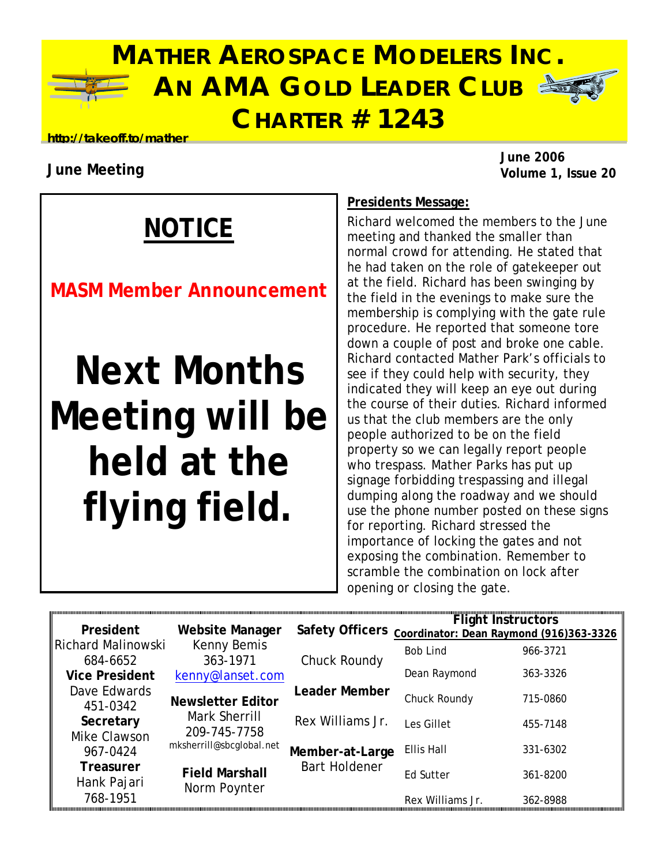

## **MATHER AEROSPACE MODELERS INC. AN AMA GOLD LEADER CLUB CHARTER # 1243**



#### **http://takeoff.to/mather**

#### **June Meeting**

000000000

,,,,,,,,,,,,,,,,,,,,,,,,,

,,,,,,,,,,,,,,,,,,,,,,,,

**June 2006 Volume 1, Issue 20**

## **NOTICE**

## **MASM Member Announcement**

# **Next Months Meeting will be held at the flying field.**

,,,,,,,,,,,,,,,,,,,,,,,,,

#### **Presidents Message:**

,,,,,,,,,,,,,,,,,,

,,,,,,,,,,,,,,,,,,,,,,

,,,,,,,,,,,,,,,,,,,,,

......................

Richard welcomed the members to the June meeting and thanked the smaller than normal crowd for attending. He stated that he had taken on the role of gatekeeper out at the field. Richard has been swinging by the field in the evenings to make sure the membership is complying with the gate rule procedure. He reported that someone tore down a couple of post and broke one cable. Richard contacted Mather Park's officials to see if they could help with security, they indicated they will keep an eye out during the course of their duties. Richard informed us that the club members are the only people authorized to be on the field property so we can legally report people who trespass. Mather Parks has put up signage forbidding trespassing and illegal dumping along the roadway and we should use the phone number posted on these signs for reporting. Richard stressed the importance of locking the gates and not exposing the combination. Remember to scramble the combination on lock after opening or closing the gate.

|                           |                          |                        | <b>Flight Instructors</b>               |          |
|---------------------------|--------------------------|------------------------|-----------------------------------------|----------|
| President                 | Website Manager          | <b>Safety Officers</b> | Coordinator: Dean Raymond (916)363-3326 |          |
| <b>Richard Malinowski</b> | Kenny Bemis              |                        | <b>Bob Lind</b>                         | 966-3721 |
| 684-6652                  | 363-1971                 | Chuck Roundy           |                                         |          |
| <b>Vice President</b>     | kenny@lanset.com         |                        | Dean Raymond                            | 363-3326 |
| Dave Edwards              |                          | <b>Leader Member</b>   |                                         |          |
| 451-0342                  | <b>Newsletter Editor</b> |                        | Chuck Roundy                            | 715-0860 |
| Secretary                 | Mark Sherrill            | Rex Williams Jr.       | Les Gillet                              | 455-7148 |
| Mike Clawson              | 209-745-7758             |                        |                                         |          |
| 967-0424                  | mksherrill@sbcglobal.net | Member-at-Large        | Ellis Hall                              | 331-6302 |
| <b>Treasurer</b>          |                          | <b>Bart Holdener</b>   |                                         |          |
| Hank Pajari               | <b>Field Marshall</b>    |                        | <b>Ed Sutter</b>                        | 361-8200 |
| 768-1951                  | Norm Poynter             |                        |                                         |          |
|                           |                          |                        | Rex Williams Jr.                        | 362-8988 |

,,,,,,,,,,,,,,,,,,,,,,,

,,,,,,,,,,,,,,,,,,,,,,,,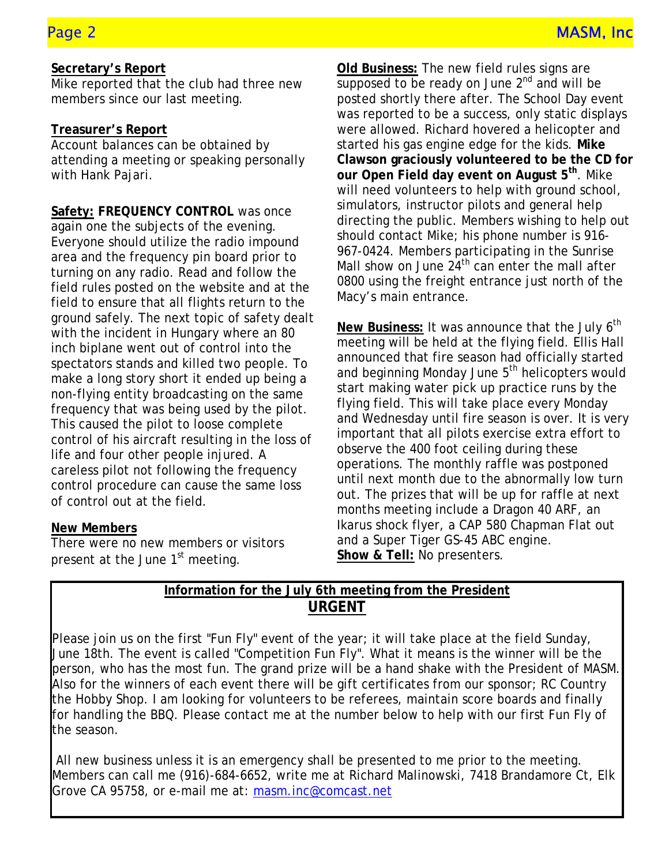#### **Secretary's Report**

Mike reported that the club had three new members since our last meeting.

#### **Treasurer's Report**

Account balances can be obtained by attending a meeting or speaking personally with Hank Pajari.

 area and the frequency pin board prior to **Safety: FREQUENCY CONTROL** was once again one the subjects of the evening. Everyone should utilize the radio impound turning on any radio. Read and follow the field rules posted on the website and at the field to ensure that all flights return to the ground safely. The next topic of safety dealt with the incident in Hungary where an 80 inch biplane went out of control into the spectators stands and killed two people. To make a long story short it ended up being a non-flying entity broadcasting on the same frequency that was being used by the pilot. This caused the pilot to loose complete control of his aircraft resulting in the loss of life and four other people injured. A careless pilot not following the frequency control procedure can cause the same loss of control out at the field.

#### **New Members**

There were no new members or visitors present at the June  $1<sup>st</sup>$  meeting.

**Old Business:** The new field rules signs are supposed to be ready on June  $2<sup>nd</sup>$  and will be posted shortly there after. The School Day event was reported to be a success, only static displays were allowed. Richard hovered a helicopter and started his gas engine edge for the kids. **Mike Clawson graciously volunteered to be the CD for our Open Field day event on August 5th**. Mike will need volunteers to help with ground school, simulators, instructor pilots and general help directing the public. Members wishing to help out should contact Mike; his phone number is 916- 967-0424. Members participating in the Sunrise Mall show on June  $24<sup>th</sup>$  can enter the mall after 0800 using the freight entrance just north of the Macy's main entrance.

New Business: It was announce that the July 6<sup>th</sup> meeting will be held at the flying field. Ellis Hall announced that fire season had officially started and beginning Monday June 5<sup>th</sup> helicopters would start making water pick up practice runs by the flying field. This will take place every Monday and Wednesday until fire season is over. It is very important that all pilots exercise extra effort to observe the 400 foot ceiling during these operations. The monthly raffle was postponed until next month due to the abnormally low turn out. The prizes that will be up for raffle at next months meeting include a Dragon 40 ARF, an Ikarus shock flyer, a CAP 580 Chapman Flat out and a Super Tiger GS-45 ABC engine. **Show & Tell:** No presenters.

#### **Information for the July 6th meeting from the President URGENT**

Please join us on the first "Fun Fly" event of the year; it will take place at the field Sunday, June 18th. The event is called "Competition Fun Fly". What it means is the winner will be the person, who has the most fun. The grand prize will be a hand shake with the President of MASM. Also for the winners of each event there will be gift certificates from our sponsor; RC Country the Hobby Shop. I am looking for volunteers to be referees, maintain score boards and finally for handling the BBQ. Please contact me at the number below to help with our first Fun Fly of the season.

 All new business unless it is an emergency shall be presented to me prior to the meeting. Members can call me (916)-684-6652, write me at Richard Malinowski, 7418 Brandamore Ct, Elk Grove CA 95758, or e-mail me at: masm.inc@comcast.net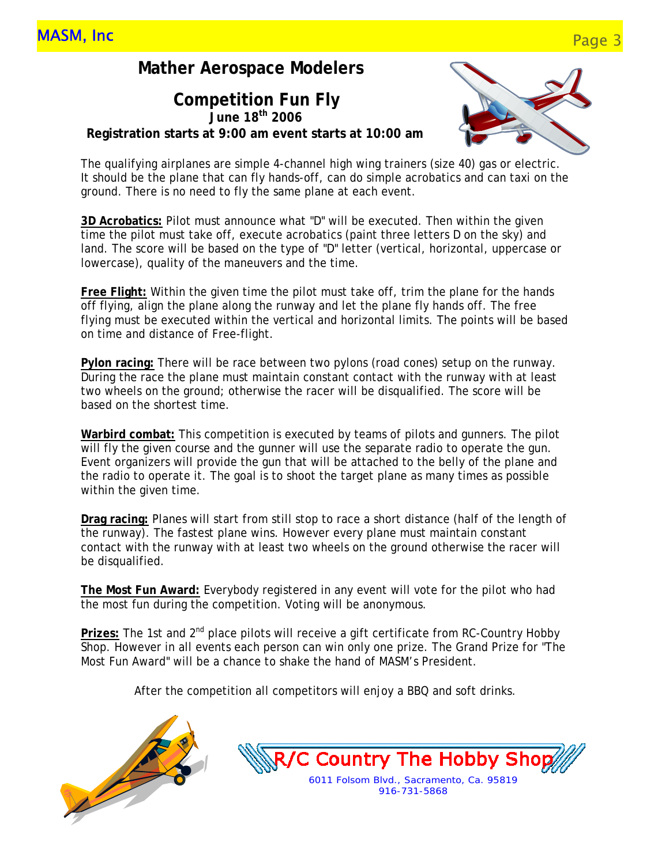## MASM, Inc Page 3 (Page 3 ) and the page 3 (Page 3 ) and the page 3 (Page 3 ) and the page 3 (Page 3 ) and the page 3

#### **Mather Aerospace Modelers**

#### **Competition Fun Fly June 18th 2006 Registration starts at 9:00 am event starts at 10:00 am**



The qualifying airplanes are simple 4-channel high wing trainers (size 40) gas or electric. It should be the plane that can fly hands-off, can do simple acrobatics and can taxi on the ground. There is no need to fly the same plane at each event.

**3D Acrobatics:** Pilot must announce what "D" will be executed. Then within the given time the pilot must take off, execute acrobatics (paint three letters D on the sky) and land. The score will be based on the type of "D" letter (vertical, horizontal, uppercase or lowercase), quality of the maneuvers and the time.

**Free Flight:** Within the given time the pilot must take off, trim the plane for the hands off flying, align the plane along the runway and let the plane fly hands off. The free flying must be executed within the vertical and horizontal limits. The points will be based on time and distance of Free-flight.

**Pylon racing:** There will be race between two pylons (road cones) setup on the runway. During the race the plane must maintain constant contact with the runway with at least two wheels on the ground; otherwise the racer will be disqualified. The score will be based on the shortest time.

**Warbird combat:** This competition is executed by teams of pilots and gunners. The pilot will fly the given course and the gunner will use the separate radio to operate the gun. Event organizers will provide the gun that will be attached to the belly of the plane and the radio to operate it. The goal is to shoot the target plane as many times as possible within the given time.

**Drag racing:** Planes will start from still stop to race a short distance (half of the length of the runway). The fastest plane wins. However every plane must maintain constant contact with the runway with at least two wheels on the ground otherwise the racer will be disqualified.

**The Most Fun Award:** Everybody registered in any event will vote for the pilot who had the most fun during the competition. Voting will be anonymous.

Prizes: The 1st and 2<sup>nd</sup> place pilots will receive a gift certificate from RC-Country Hobby Shop. However in all events each person can win only one prize. The Grand Prize for "The Most Fun Award" will be a chance to shake the hand of MASM's President.

After the competition all competitors will enjoy a BBQ and soft drinks.

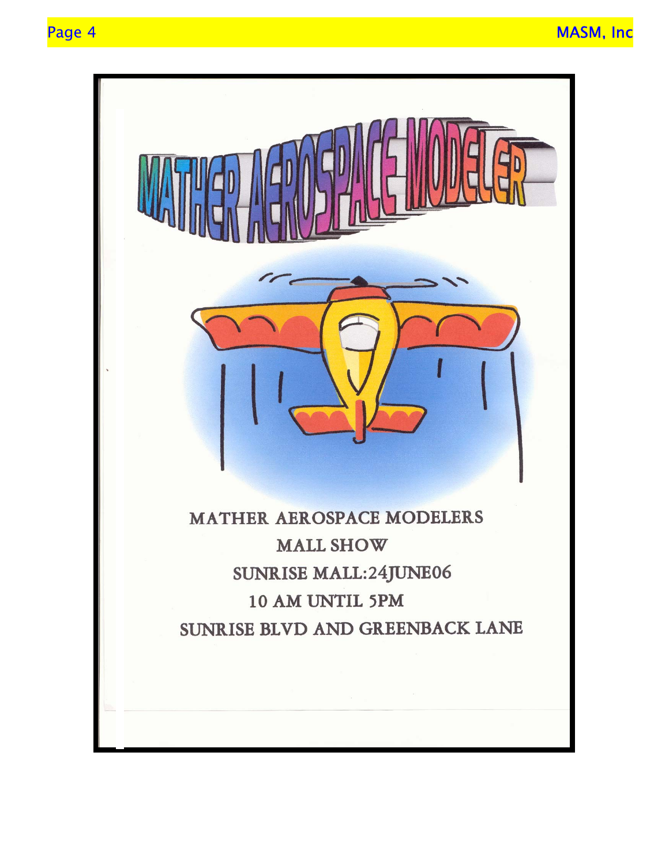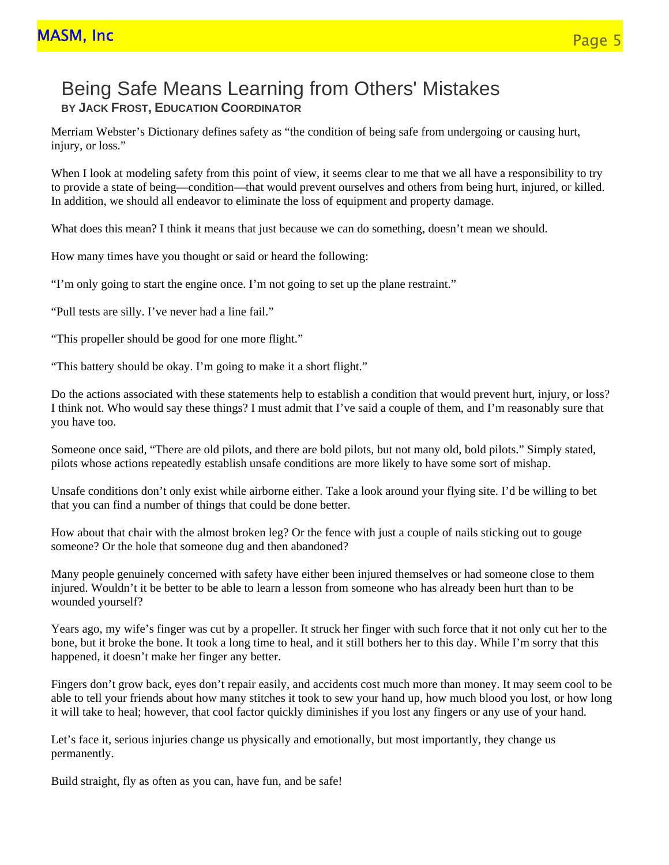### Being Safe Means Learning from Others' Mistakes **BY JACK FROST, EDUCATION COORDINATOR**

Merriam Webster's Dictionary defines safety as "the condition of being safe from undergoing or causing hurt, injury, or loss."

When I look at modeling safety from this point of view, it seems clear to me that we all have a responsibility to try to provide a state of being—condition—that would prevent ourselves and others from being hurt, injured, or killed. In addition, we should all endeavor to eliminate the loss of equipment and property damage.

What does this mean? I think it means that just because we can do something, doesn't mean we should.

How many times have you thought or said or heard the following:

"I'm only going to start the engine once. I'm not going to set up the plane restraint."

"Pull tests are silly. I've never had a line fail."

"This propeller should be good for one more flight."

"This battery should be okay. I'm going to make it a short flight."

Do the actions associated with these statements help to establish a condition that would prevent hurt, injury, or loss? I think not. Who would say these things? I must admit that I've said a couple of them, and I'm reasonably sure that you have too.

Someone once said, "There are old pilots, and there are bold pilots, but not many old, bold pilots." Simply stated, pilots whose actions repeatedly establish unsafe conditions are more likely to have some sort of mishap.

Unsafe conditions don't only exist while airborne either. Take a look around your flying site. I'd be willing to bet that you can find a number of things that could be done better.

How about that chair with the almost broken leg? Or the fence with just a couple of nails sticking out to gouge someone? Or the hole that someone dug and then abandoned?

Many people genuinely concerned with safety have either been injured themselves or had someone close to them injured. Wouldn't it be better to be able to learn a lesson from someone who has already been hurt than to be wounded yourself?

Years ago, my wife's finger was cut by a propeller. It struck her finger with such force that it not only cut her to the bone, but it broke the bone. It took a long time to heal, and it still bothers her to this day. While I'm sorry that this happened, it doesn't make her finger any better.

Fingers don't grow back, eyes don't repair easily, and accidents cost much more than money. It may seem cool to be able to tell your friends about how many stitches it took to sew your hand up, how much blood you lost, or how long it will take to heal; however, that cool factor quickly diminishes if you lost any fingers or any use of your hand.

Let's face it, serious injuries change us physically and emotionally, but most importantly, they change us permanently.

Build straight, fly as often as you can, have fun, and be safe!